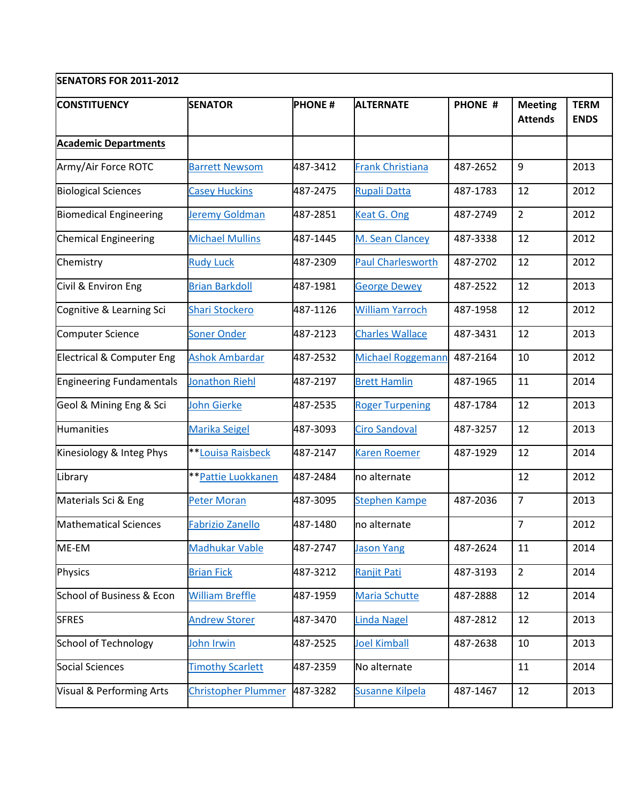| <b>SENATORS FOR 2011-2012</b>       |                            |               |                          |                |                                  |                            |  |  |  |  |
|-------------------------------------|----------------------------|---------------|--------------------------|----------------|----------------------------------|----------------------------|--|--|--|--|
| <b>CONSTITUENCY</b>                 | <b>SENATOR</b>             | <b>PHONE#</b> | <b>ALTERNATE</b>         | <b>PHONE #</b> | <b>Meeting</b><br><b>Attends</b> | <b>TERM</b><br><b>ENDS</b> |  |  |  |  |
| <b>Academic Departments</b>         |                            |               |                          |                |                                  |                            |  |  |  |  |
| Army/Air Force ROTC                 | <b>Barrett Newsom</b>      | 487-3412      | <b>Frank Christiana</b>  | 487-2652       | 9                                | 2013                       |  |  |  |  |
| <b>Biological Sciences</b>          | <b>Casey Huckins</b>       | 487-2475      | <b>Rupali Datta</b>      | 487-1783       | 12                               | 2012                       |  |  |  |  |
| <b>Biomedical Engineering</b>       | Jeremy Goldman             | 487-2851      | Keat G. Ong              | 487-2749       | $\overline{2}$                   | 2012                       |  |  |  |  |
| <b>Chemical Engineering</b>         | <b>Michael Mullins</b>     | 487-1445      | M. Sean Clancey          | 487-3338       | 12                               | 2012                       |  |  |  |  |
| Chemistry                           | <b>Rudy Luck</b>           | 487-2309      | <b>Paul Charlesworth</b> | 487-2702       | 12                               | 2012                       |  |  |  |  |
| Civil & Environ Eng                 | <b>Brian Barkdoll</b>      | 487-1981      | <b>George Dewey</b>      | 487-2522       | 12                               | 2013                       |  |  |  |  |
| Cognitive & Learning Sci            | <b>Shari Stockero</b>      | 487-1126      | <b>William Yarroch</b>   | 487-1958       | 12                               | 2012                       |  |  |  |  |
| Computer Science                    | <b>Soner Onder</b>         | 487-2123      | <b>Charles Wallace</b>   | 487-3431       | 12                               | 2013                       |  |  |  |  |
| Electrical & Computer Eng           | <b>Ashok Ambardar</b>      | 487-2532      | <b>Michael Roggemann</b> | 487-2164       | 10                               | 2012                       |  |  |  |  |
| <b>Engineering Fundamentals</b>     | <b>Jonathon Riehl</b>      | 487-2197      | <b>Brett Hamlin</b>      | 487-1965       | 11                               | 2014                       |  |  |  |  |
| Geol & Mining Eng & Sci             | John Gierke                | 487-2535      | <b>Roger Turpening</b>   | 487-1784       | 12                               | 2013                       |  |  |  |  |
| <b>Humanities</b>                   | <b>Marika Seigel</b>       | 487-3093      | <b>Ciro Sandoval</b>     | 487-3257       | 12                               | 2013                       |  |  |  |  |
| Kinesiology & Integ Phys            | <b>**Louisa Raisbeck</b>   | 487-2147      | <b>Karen Roemer</b>      | 487-1929       | 12                               | 2014                       |  |  |  |  |
| Library                             | <b>**Pattie Luokkanen</b>  | 487-2484      | no alternate             |                | 12                               | 2012                       |  |  |  |  |
| Materials Sci & Eng                 | <b>Peter Moran</b>         | 487-3095      | <b>Stephen Kampe</b>     | 487-2036       | $\overline{7}$                   | 2013                       |  |  |  |  |
| Mathematical Sciences               | <b>Fabrizio Zanello</b>    | 487-1480      | no alternate             |                | $\overline{7}$                   | 2012                       |  |  |  |  |
| ME-EM                               | <b>Madhukar Vable</b>      | 487-2747      | <b>Jason Yang</b>        | 487-2624       | 11                               | 2014                       |  |  |  |  |
| <b>Physics</b>                      | <b>Brian Fick</b>          | 487-3212      | <b>Ranjit Pati</b>       | 487-3193       | $\overline{2}$                   | 2014                       |  |  |  |  |
| School of Business & Econ           | <b>William Breffle</b>     | 487-1959      | Maria Schutte            | 487-2888       | 12                               | 2014                       |  |  |  |  |
| <b>SFRES</b>                        | <b>Andrew Storer</b>       | 487-3470      | <b>Linda Nagel</b>       | 487-2812       | 12                               | 2013                       |  |  |  |  |
| <b>School of Technology</b>         | John Irwin                 | 487-2525      | <b>Joel Kimball</b>      | 487-2638       | 10                               | 2013                       |  |  |  |  |
| <b>Social Sciences</b>              | <b>Timothy Scarlett</b>    | 487-2359      | No alternate             |                | 11                               | 2014                       |  |  |  |  |
| <b>Visual &amp; Performing Arts</b> | <b>Christopher Plummer</b> | 487-3282      | <b>Susanne Kilpela</b>   | 487-1467       | 12                               | 2013                       |  |  |  |  |